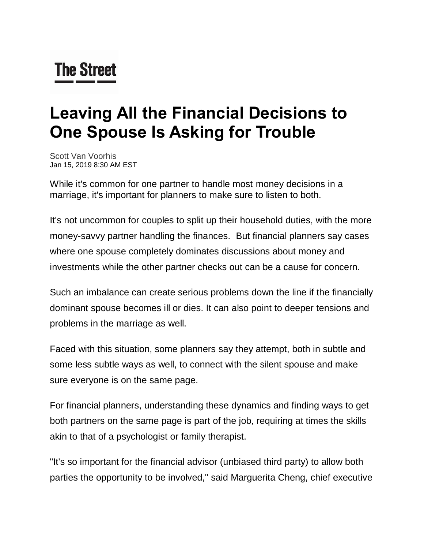## **The Street**

## **Leaving All the Financial Decisions to One Spouse Is Asking for Trouble**

[Scott Van Voorhis](https://www.thestreet.com/author/1759112/scott-van-voorhis/all.html) Jan 15, 2019 8:30 AM EST

While it's common for one partner to handle most money decisions in a marriage, it's important for planners to make sure to listen to both.

It's not uncommon for couples to split up their household duties, with the more money-savvy partner handling the finances. But financial planners say cases where one spouse completely dominates discussions about money and investments while the other partner checks out can be a cause for concern.

Such an imbalance can create serious problems down the line if the financially dominant spouse becomes ill or dies. It can also point to deeper tensions and problems in the marriage as well.

Faced with this situation, some planners say they attempt, both in subtle and some less subtle ways as well, to connect with the silent spouse and make sure everyone is on the same page.

For financial planners, understanding these dynamics and finding ways to get both partners on the same page is part of the job, requiring at times the skills akin to that of a psychologist or family therapist.

"It's so important for the financial advisor (unbiased third party) to allow both parties the opportunity to be involved," said Marguerita Cheng, chief executive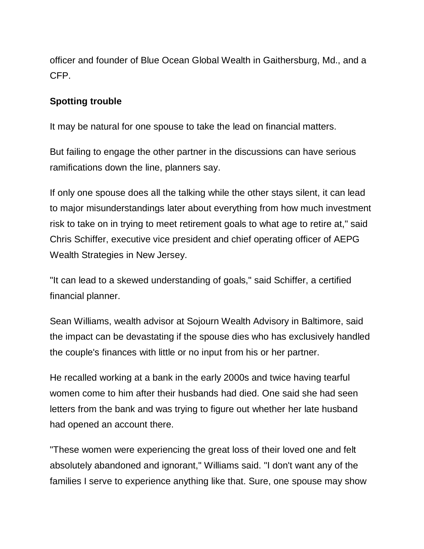officer and founder of Blue Ocean Global Wealth in Gaithersburg, Md., and a CFP.

## **Spotting trouble**

It may be natural for one spouse to take the lead on financial matters.

But failing to engage the other partner in the discussions can have serious ramifications down the line, planners say.

If only one spouse does all the talking while the other stays silent, it can lead to major misunderstandings later about everything from how much investment risk to take on in trying to meet retirement goals to what age to retire at," said Chris Schiffer, executive vice president and chief operating officer of AEPG Wealth Strategies in New Jersey.

"It can lead to a skewed understanding of goals," said Schiffer, a certified financial planner.

Sean Williams, wealth advisor at Sojourn Wealth Advisory in Baltimore, said the impact can be devastating if the spouse dies who has exclusively handled the couple's finances with little or no input from his or her partner.

He recalled working at a bank in the early 2000s and twice having tearful women come to him after their husbands had died. One said she had seen letters from the bank and was trying to figure out whether her late husband had opened an account there.

"These women were experiencing the great loss of their loved one and felt absolutely abandoned and ignorant," Williams said. "I don't want any of the families I serve to experience anything like that. Sure, one spouse may show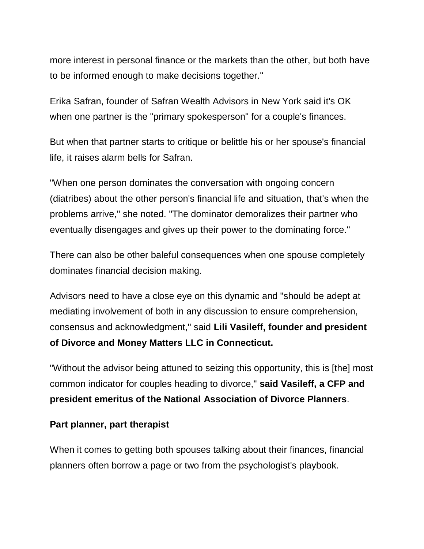more interest in personal finance or the markets than the other, but both have to be informed enough to make decisions together."

Erika Safran, founder of Safran Wealth Advisors in New York said it's OK when one partner is the "primary spokesperson" for a couple's finances.

But when that partner starts to critique or belittle his or her spouse's financial life, it raises alarm bells for Safran.

"When one person dominates the conversation with ongoing concern (diatribes) about the other person's financial life and situation, that's when the problems arrive," she noted. "The dominator demoralizes their partner who eventually disengages and gives up their power to the dominating force."

There can also be other baleful consequences when one spouse completely dominates financial decision making.

Advisors need to have a close eye on this dynamic and "should be adept at mediating involvement of both in any discussion to ensure comprehension, consensus and acknowledgment," said **Lili Vasileff, founder and president of Divorce and Money Matters LLC in Connecticut.**

"Without the advisor being attuned to seizing this opportunity, this is [the] most common indicator for couples heading to divorce," **said Vasileff, a CFP and president emeritus of the National Association of Divorce Planners**.

## **Part planner, part therapist**

When it comes to getting both spouses talking about their finances, financial planners often borrow a page or two from the psychologist's playbook.